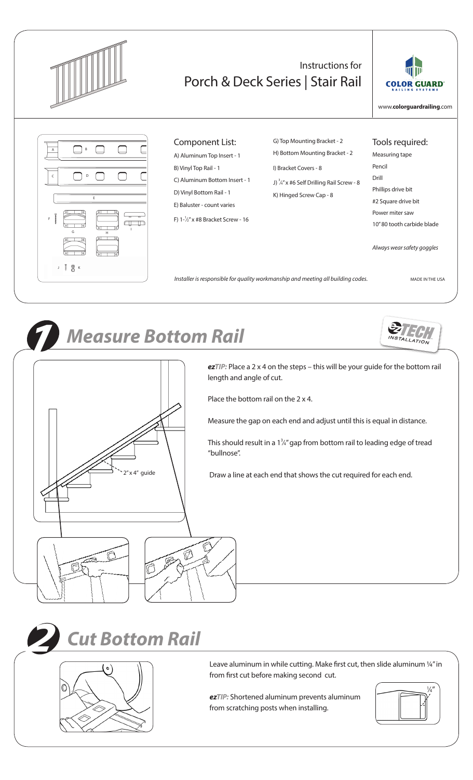

#### Instructions for Porch & Deck Series | Stair Rail



www.**colorguardrailing**.com



#### Component List:

A) Aluminum Top Insert - 1 B) Vinyl Top Rail - 1 C) Aluminum Bottom Insert - 1 D) Vinyl Bottom Rail - 1 E) Baluster - count varies F)  $1-\frac{1}{2}$ " x #8 Bracket Screw - 16

G) Top Mounting Bracket - 2 H) Bottom Mounting Bracket - 2 I) Bracket Covers - 8 J)  $\frac{3}{4}$ " x #6 Self Drilling Rail Screw - 8 K) Hinged Screw Cap - 8

Tools required:

Measuring tape Pencil Drill Phillips drive bit #2 Square drive bit Power miter saw 10" 80 tooth carbide blade

*Always wear safety goggles*

*Installer is responsible for quality workmanship and meeting all building codes.* MADE IN THE USA



#### *1 Measure Bottom Rail*



*ezTIP:* Place a 2 x 4 on the steps – this will be your guide for the bottom rail length and angle of cut.

Place the bottom rail on the 2 x 4.

Measure the gap on each end and adjust until this is equal in distance.

This should result in a  $1\frac{3}{4}$ " gap from bottom rail to leading edge of tread "bullnose".

Draw a line at each end that shows the cut required for each end.





Leave aluminum in while cutting. Make first cut, then slide aluminum 1/4" in from first cut before making second cut.

*ezTIP:* Shortened aluminum prevents aluminum from scratching posts when installing.